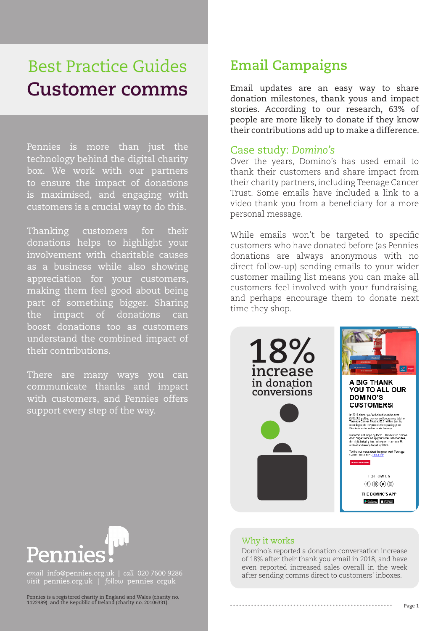# Best Practice Guides **Customer comms**

Pennies is more than just the technology behind the digital charity box. We work with our partners to ensure the impact of donations is maximised, and engaging with customers is a crucial way to do this.

Thanking customers for their donations helps to highlight your involvement with charitable causes as a business while also showing appreciation for your customers, making them feel good about being part of something bigger. Sharing the impact of donations can boost donations too as customers understand the combined impact of their contributions.

There are many ways you can communicate thanks and impact with customers, and Pennies offers support every step of the way.

## **Email Campaigns**

Email updates are an easy way to share donation milestones, thank yous and impact stories. According to our research, 63% of people are more likely to donate if they know their contributions add up to make a difference.

#### Case study: *Domino's*

Over the years, Domino's has used email to thank their customers and share impact from their charity partners, including Teenage Cancer Trust. Some emails have included a link to a video thank you from a beneficiary for a more personal message.

While emails won't be targeted to specific customers who have donated before (as Pennies donations are always anonymous with no direct follow-up) sending emails to your wider customer mailing list means you can make all customers feel involved with your fundraising, and perhaps encourage them to donate next time they shop.



# U. Penni

*email* info@pennies.org.uk | *call* 020 7600 9286 *visit* pennies.org.uk | *follow* pennies\_orguk

Pennies is a registered charity in England and Wales (charity no. 1122489) and the Republic of Ireland (charity no. 20106331).

### Why it works

Domino's reported a donation conversation increase of 18% after their thank you email in 2018, and have even reported increased sales overall in the week after sending comms direct to customers' inboxes.